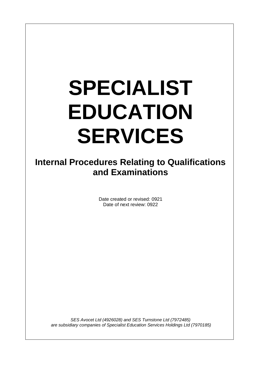# **SPECIALIST EDUCATION SERVICES**

**Internal Procedures Relating to Qualifications and Examinations** 

> Date created or revised: 0921 Date of next review: 0922

*SES Avocet Ltd (4926028) and SES Turnstone Ltd (7972485) are subsidiary companies of Specialist Education Services Holdings Ltd (7970185)*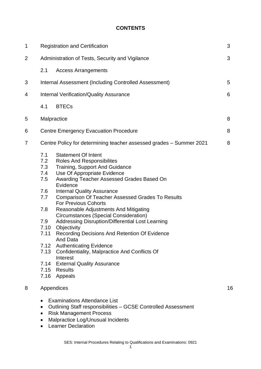#### **CONTENTS**

| 1 |                                                                                                             | 3<br><b>Registration and Certification</b>                                                                                                                                                                                                                                                                                                                                                                                                                                                                                                                                                                                                                                                                             |    |  |
|---|-------------------------------------------------------------------------------------------------------------|------------------------------------------------------------------------------------------------------------------------------------------------------------------------------------------------------------------------------------------------------------------------------------------------------------------------------------------------------------------------------------------------------------------------------------------------------------------------------------------------------------------------------------------------------------------------------------------------------------------------------------------------------------------------------------------------------------------------|----|--|
| 2 |                                                                                                             | Administration of Tests, Security and Vigilance                                                                                                                                                                                                                                                                                                                                                                                                                                                                                                                                                                                                                                                                        | 3  |  |
|   | 2.1                                                                                                         | <b>Access Arrangements</b>                                                                                                                                                                                                                                                                                                                                                                                                                                                                                                                                                                                                                                                                                             |    |  |
| 3 |                                                                                                             | Internal Assessment (Including Controlled Assessment)                                                                                                                                                                                                                                                                                                                                                                                                                                                                                                                                                                                                                                                                  | 5  |  |
| 4 |                                                                                                             | <b>Internal Verification/Quality Assurance</b>                                                                                                                                                                                                                                                                                                                                                                                                                                                                                                                                                                                                                                                                         | 6  |  |
|   | 4.1                                                                                                         | <b>BTECs</b>                                                                                                                                                                                                                                                                                                                                                                                                                                                                                                                                                                                                                                                                                                           |    |  |
| 5 |                                                                                                             | Malpractice                                                                                                                                                                                                                                                                                                                                                                                                                                                                                                                                                                                                                                                                                                            | 8  |  |
| 6 |                                                                                                             | <b>Centre Emergency Evacuation Procedure</b>                                                                                                                                                                                                                                                                                                                                                                                                                                                                                                                                                                                                                                                                           | 8  |  |
| 7 |                                                                                                             | Centre Policy for determining teacher assessed grades - Summer 2021                                                                                                                                                                                                                                                                                                                                                                                                                                                                                                                                                                                                                                                    | 8  |  |
|   | 7.1<br>7.2<br>7.3<br>7.4<br>7.5<br>7.6<br>7.7<br>7.8<br>7.9<br>7.10<br>7.11<br>7.12<br>7.13<br>7.14<br>7.16 | <b>Statement Of Intent</b><br><b>Roles And Responsibilites</b><br><b>Training, Support And Guidance</b><br>Use Of Appropriate Evidence<br>Awarding Teacher Assessed Grades Based On<br>Evidence<br><b>Internal Quality Assurance</b><br>Comparison Of Teacher Assessed Grades To Results<br><b>For Previous Cohorts</b><br>Reasonable Adjustments And Mitigating<br><b>Circumstances (Special Consideration)</b><br>Addressing Disruption/Differential Lost Learning<br>Objectivity<br>Recording Decisions And Retention Of Evidence<br><b>And Data</b><br><b>Authenticating Evidence</b><br>Confidentiality, Malpractice And Conflicts Of<br>Interest<br><b>External Quality Assurance</b><br>7.15 Results<br>Appeals |    |  |
| 8 |                                                                                                             | Appendices                                                                                                                                                                                                                                                                                                                                                                                                                                                                                                                                                                                                                                                                                                             | 16 |  |
|   | $\bullet$                                                                                                   | <b>Examinations Attendance List</b><br>Outlining Staff responsibilities - GCSE Controlled Assessment<br><b>Risk Management Process</b><br>Malpractice Log/Unusual Incidents                                                                                                                                                                                                                                                                                                                                                                                                                                                                                                                                            |    |  |

• Learner Declaration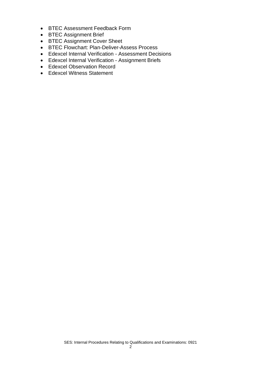- BTEC Assessment Feedback Form
- BTEC Assignment Brief
- BTEC Assignment Cover Sheet
- BTEC Flowchart: Plan-Deliver-Assess Process
- Edexcel Internal Verification Assessment Decisions
- Edexcel Internal Verification Assignment Briefs
- Edexcel Observation Record
- Edexcel Witness Statement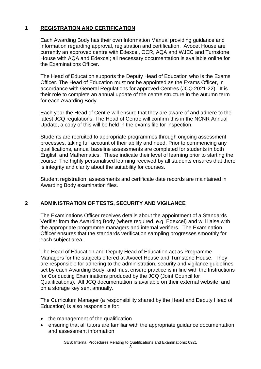#### **1 REGISTRATION AND CERTIFICATION**

Each Awarding Body has their own Information Manual providing guidance and information regarding approval, registration and certification. Avocet House are currently an approved centre with Edexcel, OCR, AQA and WJEC and Turnstone House with AQA and Edexcel; all necessary documentation is available online for the Examinations Officer.

The Head of Education supports the Deputy Head of Education who is the Exams Officer. The Head of Education must not be appointed as the Exams Officer, in accordance with General Regulations for approved Centres (JCQ 2021-22). It is their role to complete an annual update of the centre structure in the autumn term for each Awarding Body.

Each year the Head of Centre will ensure that they are aware of and adhere to the latest JCQ regulations. The Head of Centre will confirm this in the NCNR Annual Update, a copy of this will be held in the exams file for inspection.

Students are recruited to appropriate programmes through ongoing assessment processes, taking full account of their ability and need. Prior to commencing any qualifications, annual baseline assessments are completed for students in both English and Mathematics. These indicate their level of learning prior to starting the course. The highly personalised learning received by all students ensures that there is integrity and clarity about the suitability for courses.

Student registration, assessments and certificate date records are maintained in Awarding Body examination files.

#### **2 ADMINISTRATION OF TESTS, SECURITY AND VIGILANCE**

The Examinations Officer receives details about the appointment of a Standards Verifier from the Awarding Body (where required, e.g. Edexcel) and will liaise with the appropriate programme managers and internal verifiers. The Examination Officer ensures that the standards verification sampling progresses smoothly for each subject area.

The Head of Education and Deputy Head of Education act as Programme Managers for the subjects offered at Avocet House and Turnstone House. They are responsible for adhering to the administration, security and vigilance guidelines set by each Awarding Body, and must ensure practice is in line with the Instructions for Conducting Examinations produced by the JCQ (Joint Council for Qualifications). All JCQ documentation is available on their external website, and on a storage key sent annually.

The Curriculum Manager (a responsibility shared by the Head and Deputy Head of Education) is also responsible for:

- the management of the qualification
- ensuring that all tutors are familiar with the appropriate guidance documentation and assessment information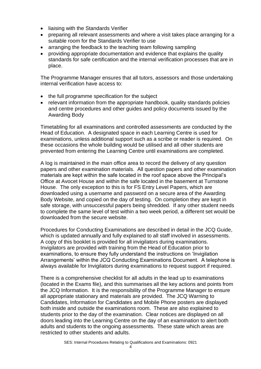- liaising with the Standards Verifier
- preparing all relevant assessments and where a visit takes place arranging for a suitable room for the Standards Verifier to use
- arranging the feedback to the teaching team following sampling
- providing appropriate documentation and evidence that explains the quality standards for safe certification and the internal verification processes that are in place.

The Programme Manager ensures that all tutors, assessors and those undertaking internal verification have access to:

- the full programme specification for the subject
- relevant information from the appropriate handbook, quality standards policies and centre procedures and other guides and policy documents issued by the Awarding Body

Timetabling for all examinations and controlled assessments are conducted by the Head of Education. A designated space in each Learning Centre is used for examinations, unless additional support such as a scribe or reader is required. On these occasions the whole building would be utilised and all other students are prevented from entering the Learning Centre until examinations are completed.

A log is maintained in the main office area to record the delivery of any question papers and other examination materials. All question papers and other examination materials are kept within the safe located in the roof space above the Principal's Office at Avocet House and within the safe located in the basement at Turnstone House. The only exception to this is for FS Entry Level Papers, which are downloaded using a username and password on a secure area of the Awarding Body Website, and copied on the day of testing. On completion they are kept in safe storage, with unsuccessful papers being shredded. If any other student needs to complete the same level of test within a two week period, a different set would be downloaded from the secure website.

Procedures for Conducting Examinations are described in detail in the JCQ Guide, which is updated annually and fully explained to all staff involved in assessments. A copy of this booklet is provided for all invigilators during examinations. Invigilators are provided with training from the Head of Education prior to examinations, to ensure they fully understand the instructions on 'Invigilation Arrangements' within the JCQ Conducting Examinations Document. A telephone is always available for Invigilators during examinations to request support if required.

There is a comprehensive checklist for all adults in the lead up to examinations (located in the Exams file), and this summarises all the key actions and points from the JCQ Information. It is the responsibility of the Programme Manager to ensure all appropriate stationary and materials are provided. The JCQ Warning to Candidates, Information for Candidates and Mobile Phone posters are displayed both inside and outside the examinations room. These are also explained to students prior to the day of the examination. Clear notices are displayed on all doors leading into the Learning Centre on the day of an examination to alert both adults and students to the ongoing assessments. These state which areas are restricted to other students and adults.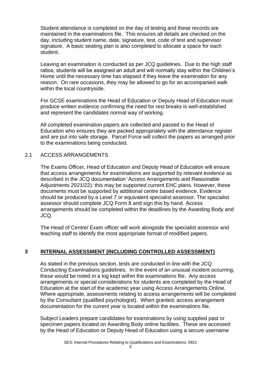Student attendance is completed on the day of testing and these records are maintained in the examinations file. This ensures all details are checked on the day, including student name, date, signature, test, code of test and supervisor signature. A basic seating plan is also completed to allocate a space for each student.

Leaving an examination is conducted as per JCQ guidelines. Due to the high staff ratios, students will be assigned an adult and will normally stay within the Children's Home until the necessary time has elapsed if they leave the examination for any reason. On rare occasions, they may be allowed to go for an accompanied walk within the local countryside.

For GCSE examinations the Head of Education or Deputy Head of Education must produce written evidence confirming the need for rest breaks is well-established and represent the candidates normal way of working.

All completed examination papers are collected and passed to the Head of Education who ensures they are packed appropriately with the attendance register and are put into safe storage. Parcel Force will collect the papers as arranged prior to the examinations being conducted.

#### 2.1 ACCESS ARRANGEMENTS

The Exams Officer, Head of Education and Deputy Head of Education will ensure that access arrangements for examinations are supported by relevant evidence as described in the JCQ documentation 'Access Arrangements and Reasonable Adjustments 2021/22): this may be supported current EHC plans. However, these documents must be supported by additional centre based evidence. Evidence should be produced by a Level 7 or equivalent specialist assessor. The specialist assessor should complete JCQ Form 8 and sign this by hand. Access arrangements should be completed within the deadlines by the Awarding Body and JCQ.

The Head of Centre/ Exam officer will work alongside the specialist assessor and teaching staff to identify the most appropriate format of modified papers.

#### **3 INTERNAL ASSESSMENT (INCLUDING CONTROLLED ASSESSMENT)**

As stated in the previous section, tests are conducted in line with the JCQ Conducting Examinations guidelines. In the event of an unusual incident occurring, these would be noted in a log kept within the examinations file. Any access arrangements or special considerations for students are completed by the Head of Education at the start of the academic year using Access Arrangements Online. Where appropriate, assessments relating to access arrangements will be completed by the Consultant (qualified psychologist). When granted, access arrangement documentation for the current year is located within the examinations file.

Subject Leaders prepare candidates for examinations by using supplied past or specimen papers located on Awarding Body online facilities. These are accessed by the Head of Education or Deputy Head of Education using a secure username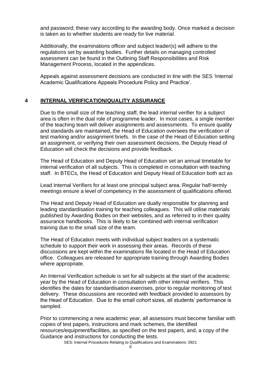and password; these vary according to the awarding body. Once marked a decision is taken as to whether students are ready for live material.

Additionally, the examinations officer and subject leader(s) will adhere to the regulations set by awarding bodies. Further details on managing controlled assessment can be found in the Outlining Staff Responsibilities and Risk Management Process, located in the appendices.

Appeals against assessment decisions are conducted in line with the SES 'Internal Academic Qualifications Appeals Procedure Policy and Practice'.

#### **4 INTERNAL VERIFICATION/QUALITY ASSURANCE**

Due to the small size of the teaching staff, the lead internal verifier for a subject area is often in the dual role of programme leader. In most cases, a single member of the teaching team will deliver assignments and assessments. To ensure quality and standards are maintained, the Head of Education oversees the verification of test marking and/or assignment briefs. In the case of the Head of Education setting an assignment, or verifying their own assessment decisions, the Deputy Head of Education will check the decisions and provide feedback.

The Head of Education and Deputy Head of Education set an annual timetable for internal verification of all subjects. This is completed in consultation with teaching staff. In BTECs, the Head of Education and Deputy Head of Education both act as

Lead Internal Verifiers for at least one principal subject area. Regular half-termly meetings ensure a level of competency in the assessment of qualifications offered.

The Head and Deputy Head of Education are dually responsible for planning and leading standardisation training for teaching colleagues. This will utilise materials published by Awarding Bodies on their websites, and as referred to in their quality assurance handbooks. This is likely to be combined with internal verification training due to the small size of the team.

The Head of Education meets with individual subject leaders on a systematic schedule to support their work in assessing their areas. Records of these discussions are kept within the examinations file located in the Head of Education office. Colleagues are released for appropriate training through Awarding Bodies where appropriate.

An Internal Verification schedule is set for all subjects at the start of the academic year by the Head of Education in consultation with other internal verifiers. This identifies the dates for standardisation exercises, prior to regular monitoring of test delivery. These discussions are recorded with feedback provided to assessors by the Head of Education. Due to the small cohort sizes, all students' performance is sampled.

Prior to commencing a new academic year, all assessors must become familiar with copies of test papers, instructions and mark schemes, the identified resources/equipment/facilities, as specified on the test papers, and, a copy of the Guidance and instructions for conducting the tests.

SES: Internal Procedures Relating to Qualifications and Examinations: 0921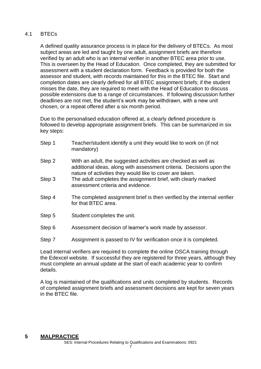#### 4.1 BTECs

A defined quality assurance process is in place for the delivery of BTECs. As most subject areas are led and taught by one adult, assignment briefs are therefore verified by an adult who is an internal verifier in another BTEC area prior to use. This is overseen by the Head of Education. Once completed, they are submitted for assessment with a student declaration form. Feedback is provided for both the assessor and student, with records maintained for this in the BTEC file. Start and completion dates are clearly defined for all BTEC assignment briefs; if the student misses the date, they are required to meet with the Head of Education to discuss possible extensions due to a range of circumstances. If following discussion further deadlines are not met, the student's work may be withdrawn, with a new unit chosen, or a repeat offered after a six month period.

Due to the personalised education offered at, a clearly defined procedure is followed to develop appropriate assignment briefs. This can be summarized in six key steps:

| Step 1 | Teacher/student identify a unit they would like to work on (if not<br>mandatory)                                                                                                                   |
|--------|----------------------------------------------------------------------------------------------------------------------------------------------------------------------------------------------------|
| Step 2 | With an adult, the suggested activities are checked as well as<br>additional ideas, along with assessment criteria. Decisions upon the<br>nature of activities they would like to cover are taken. |
| Step 3 | The adult completes the assignment brief, with clearly marked<br>assessment criteria and evidence.                                                                                                 |
| Step 4 | The completed assignment brief is then verified by the internal verifier<br>for that BTEC area.                                                                                                    |
| Step 5 | Student completes the unit.                                                                                                                                                                        |
| Step 6 | Assessment decision of learner's work made by assessor.                                                                                                                                            |
| Step 7 | Assignment is passed to IV for verification once it is completed.                                                                                                                                  |
|        |                                                                                                                                                                                                    |

Lead internal verifiers are required to complete the online OSCA training through the Edexcel website. If successful they are registered for three years, although they must complete an annual update at the start of each academic year to confirm details.

A log is maintained of the qualifications and units completed by students. Records of completed assignment briefs and assessment decisions are kept for seven years in the BTEC file.

#### **5 MALPRACTICE**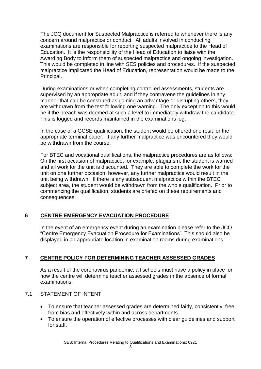The JCQ document for Suspected Malpractice is referred to whenever there is any concern around malpractice or conduct. All adults involved in conducting examinations are responsible for reporting suspected malpractice to the Head of Education. It is the responsibility of the Head of Education to liaise with the Awarding Body to inform them of suspected malpractice and ongoing investigation. This would be completed in line with SES policies and procedures. If the suspected malpractice implicated the Head of Education, representation would be made to the Principal.

During examinations or when completing controlled assessments, students are supervised by an appropriate adult, and if they contravene the guidelines in any manner that can be construed as gaining an advantage or disrupting others, they are withdrawn from the test following one warning. The only exception to this would be if the breach was deemed at such a level to immediately withdraw the candidate. This is logged and records maintained in the examinations log.

In the case of a GCSE qualification, the student would be offered one resit for the appropriate terminal paper. If any further malpractice was encountered they would be withdrawn from the course.

For BTEC and vocational qualifications, the malpractice procedures are as follows: On the first occasion of malpractice, for example, plagiarism, the student is warned and all work for the unit is discounted. They are able to complete the work for the unit on one further occasion; however, any further malpractice would result in the unit being withdrawn. If there is any subsequent malpractice within the BTEC subject area, the student would be withdrawn from the whole qualification. Prior to commencing the qualification, students are briefed on these requirements and consequences.

#### **6 CENTRE EMERGENCY EVACUATION PROCEDURE**

In the event of an emergency event during an examination please refer to the JCQ "Centre Emergency Evacuation Procedure for Examinations". This should also be displayed in an appropriate location in examination rooms during examinations.

#### **7 CENTRE POLICY FOR DETERMINING TEACHER ASSESSED GRADES**

As a result of the coronavirus pandemic, all schools must have a policy in place for how the centre will determine teacher assessed grades in the absence of formal examinations.

#### 7.1 STATEMENT OF INTENT

- To ensure that teacher assessed grades are determined fairly, consistently, free from bias and effectively within and across departments.
- To ensure the operation of effective processes with clear guidelines and support for staff.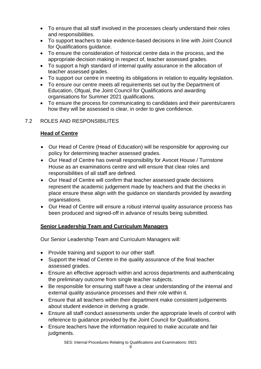- To ensure that all staff involved in the processes clearly understand their roles and responsibilities.
- To support teachers to take evidence-based decisions in line with Joint Council for Qualifications guidance.
- To ensure the consideration of historical centre data in the process, and the appropriate decision making in respect of, teacher assessed grades.
- To support a high standard of internal quality assurance in the allocation of teacher assessed grades.
- To support our centre in meeting its obligations in relation to equality legislation.
- To ensure our centre meets all requirements set out by the Department of Education, Ofqual, the Joint Council for Qualifications and awarding organisations for Summer 2021 qualifications.
- To ensure the process for communicating to candidates and their parents/carers how they will be assessed is clear, in order to give confidence.

#### 7.2 ROLES AND RESPONSIBILITES

#### **Head of Centre**

- Our Head of Centre (Head of Education) will be responsible for approving our policy for determining teacher assessed grades.
- Our Head of Centre has overall responsibility for Avocet House / Turnstone House as an examinations centre and will ensure that clear roles and responsibilities of all staff are defined.
- Our Head of Centre will confirm that teacher assessed grade decisions represent the academic judgement made by teachers and that the checks in place ensure these align with the guidance on standards provided by awarding organisations.
- Our Head of Centre will ensure a robust internal quality assurance process has been produced and signed-off in advance of results being submitted.

#### **Senior Leadership Team and Curriculum Managers**

Our Senior Leadership Team and Curriculum Managers will:

- Provide training and support to our other staff.
- Support the Head of Centre in the quality assurance of the final teacher assessed grades.
- Ensure an effective approach within and across departments and authenticating the preliminary outcome from single teacher subjects.
- Be responsible for ensuring staff have a clear understanding of the internal and external quality assurance processes and their role within it.
- Ensure that all teachers within their department make consistent judgements about student evidence in deriving a grade.
- Ensure all staff conduct assessments under the appropriate levels of control with reference to guidance provided by the Joint Council for Qualifications.
- Ensure teachers have the information required to make accurate and fair judgments.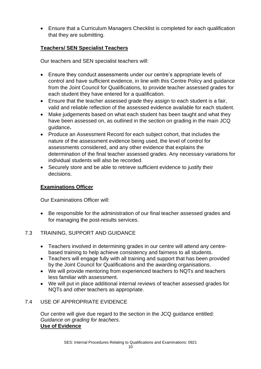• Ensure that a Curriculum Managers Checklist is completed for each qualification that they are submitting.

#### **Teachers/ SEN Specialist Teachers**

Our teachers and SEN specialist teachers will:

- Ensure they conduct assessments under our centre's appropriate levels of control and have sufficient evidence, in line with this Centre Policy and guidance from the Joint Council for Qualifications, to provide teacher assessed grades for each student they have entered for a qualification.
- Ensure that the teacher assessed grade they assign to each student is a fair, valid and reliable reflection of the assessed evidence available for each student.
- Make judgements based on what each student has been taught and what they have been assessed on, as outlined in the section on grading in the main JCQ guidance**.**
- Produce an Assessment Record for each subject cohort, that includes the nature of the assessment evidence being used, the level of control for assessments considered, and any other evidence that explains the determination of the final teacher assessed grades. Any necessary variations for individual students will also be recorded.
- Securely store and be able to retrieve sufficient evidence to justify their decisions.

#### **Examinations Officer**

Our Examinations Officer will:

• Be responsible for the administration of our final teacher assessed grades and for managing the post-results services.

#### 7.3 TRAINING, SUPPORT AND GUIDANCE

- Teachers involved in determining grades in our centre will attend any centrebased training to help achieve consistency and fairness to all students.
- Teachers will engage fully with all training and support that has been provided by the Joint Council for Qualifications and the awarding organisations.
- We will provide mentoring from experienced teachers to NQTs and teachers less familiar with assessment.
- We will put in place additional internal reviews of teacher assessed grades for NQTs and other teachers as appropriate.

#### 7.4 USE OF APPROPRIATE EVIDENCE

Our centre will give due regard to the section in the JCQ guidance entitled: *Guidance on grading for teachers*. **Use of Evidence**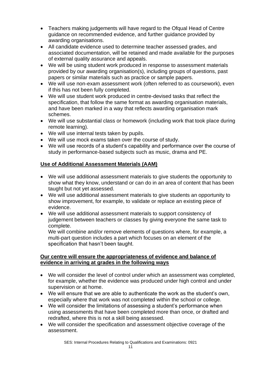- Teachers making judgements will have regard to the Ofqual Head of Centre guidance on recommended evidence, and further guidance provided by awarding organisations.
- All candidate evidence used to determine teacher assessed grades, and associated documentation, will be retained and made available for the purposes of external quality assurance and appeals.
- We will be using student work produced in response to assessment materials provided by our awarding organisation(s), including groups of questions, past papers or similar materials such as practice or sample papers.
- We will use non-exam assessment work (often referred to as coursework), even if this has not been fully completed.
- We will use student work produced in centre-devised tasks that reflect the specification, that follow the same format as awarding organisation materials, and have been marked in a way that reflects awarding organisation mark schemes.
- We will use substantial class or homework (including work that took place during remote learning).
- We will use internal tests taken by pupils.
- We will use mock exams taken over the course of study.
- We will use records of a student's capability and performance over the course of study in performance-based subjects such as music, drama and PE.

#### **Use of Additional Assessment Materials (AAM)**

- We will use additional assessment materials to give students the opportunity to show what they know, understand or can do in an area of content that has been taught but not yet assessed.
- We will use additional assessment materials to give students an opportunity to show improvement, for example, to validate or replace an existing piece of evidence.
- We will use additional assessment materials to support consistency of judgement between teachers or classes by giving everyone the same task to complete.

We will combine and/or remove elements of questions where, for example, a multi-part question includes a part which focuses on an element of the specification that hasn't been taught.

#### **Our centre will ensure the appropriateness of evidence and balance of evidence in arriving at grades in the following ways**

- We will consider the level of control under which an assessment was completed, for example, whether the evidence was produced under high control and under supervision or at home.
- We will ensure that we are able to authenticate the work as the student's own, especially where that work was not completed within the school or college.
- We will consider the limitations of assessing a student's performance when using assessments that have been completed more than once, or drafted and redrafted, where this is not a skill being assessed.
- We will consider the specification and assessment objective coverage of the assessment.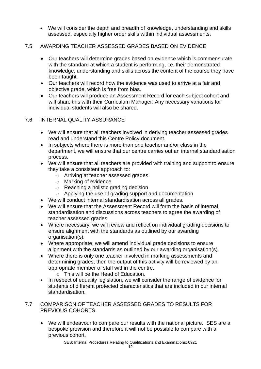• We will consider the depth and breadth of knowledge, understanding and skills assessed, especially higher order skills within individual assessments.

#### 7.5 AWARDING TEACHER ASSESSED GRADES BASED ON EVIDENCE

- Our teachers will determine grades based on evidence which is commensurate with the standard at which a student is performing, i.e. their demonstrated knowledge, understanding and skills across the content of the course they have been taught.
- Our teachers will record how the evidence was used to arrive at a fair and objective grade, which is free from bias.
- Our teachers will produce an Assessment Record for each subject cohort and will share this with their Curriculum Manager. Any necessary variations for individual students will also be shared.

#### 7.6 INTERNAL QUALITY ASSURANCE

- We will ensure that all teachers involved in deriving teacher assessed grades read and understand this Centre Policy document.
- In subjects where there is more than one teacher and/or class in the department, we will ensure that our centre carries out an internal standardisation process.
- We will ensure that all teachers are provided with training and support to ensure they take a consistent approach to:
	- o Arriving at teacher assessed grades
	- o Marking of evidence
	- o Reaching a holistic grading decision
	- o Applying the use of grading support and documentation
- We will conduct internal standardisation across all grades.
- We will ensure that the Assessment Record will form the basis of internal standardisation and discussions across teachers to agree the awarding of teacher assessed grades.
- Where necessary, we will review and reflect on individual grading decisions to ensure alignment with the standards as outlined by our awarding organisation(s).
- Where appropriate, we will amend individual grade decisions to ensure alignment with the standards as outlined by our awarding organisation(s).
- Where there is only one teacher involved in marking assessments and determining grades, then the output of this activity will be reviewed by an appropriate member of staff within the centre.
	- o This will be the Head of Education.
- In respect of equality legislation, we will consider the range of evidence for students of different protected characteristics that are included in our internal standardisation.

#### 7.7 COMPARISON OF TEACHER ASSESSED GRADES TO RESULTS FOR PREVIOUS COHORTS

• We will endeavour to compare our results with the national picture. SES are a bespoke provision and therefore it will not be possible to compare with a previous cohort.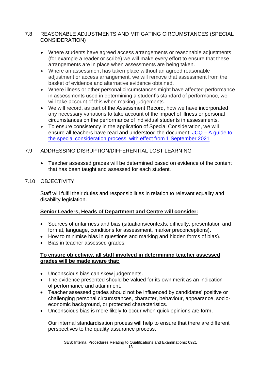#### 7.8 REASONABLE ADJUSTMENTS AND MITIGATING CIRCUMSTANCES (SPECIAL CONSIDERATION)

- Where students have agreed access arrangements or reasonable adjustments (for example a reader or scribe) we will make every effort to ensure that these arrangements are in place when assessments are being taken.
- Where an assessment has taken place without an agreed reasonable adjustment or access arrangement, we will remove that assessment from the basket of evidence and alternative evidence obtained.
- Where illness or other personal circumstances might have affected performance in assessments used in determining a student's standard of performance, we will take account of this when making judgements.
- We will record, as part of the Assessment Record, how we have incorporated any necessary variations to take account of the impact of illness or personal circumstances on the performance of individual students in assessments.
- To ensure consistency in the application of Special Consideration, we will ensure all teachers have read and understood the document: JCQ – [A guide to](https://www.jcq.org.uk/wp-content/uploads/2022/02/Guide_to_spec_con_process_2122_Feb22.pdf)  [the special consideration process, with effect from 1 September 2021](https://www.jcq.org.uk/wp-content/uploads/2022/02/Guide_to_spec_con_process_2122_Feb22.pdf)

#### 7.9 ADDRESSING DISRUPTION/DIFFERENTIAL LOST LEARNING

• Teacher assessed grades will be determined based on evidence of the content that has been taught and assessed for each student.

#### 7.10 OBJECTIVITY

Staff will fulfil their duties and responsibilities in relation to relevant equality and disability legislation.

#### **Senior Leaders, Heads of Department and Centre will consider:**

- Sources of unfairness and bias (situations/contexts, difficulty, presentation and format, language, conditions for assessment, marker preconceptions).
- How to minimise bias in questions and marking and hidden forms of bias).
- Bias in teacher assessed grades.

#### **To ensure objectivity, all staff involved in determining teacher assessed grades will be made aware that:**

- Unconscious bias can skew judgements.
- The evidence presented should be valued for its own merit as an indication of performance and attainment.
- Teacher assessed grades should not be influenced by candidates' positive or challenging personal circumstances, character, behaviour, appearance, socioeconomic background, or protected characteristics.
- Unconscious bias is more likely to occur when quick opinions are form.

Our internal standardisation process will help to ensure that there are different perspectives to the quality assurance process.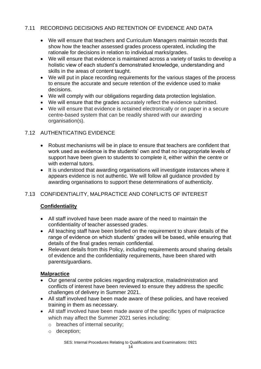#### 7.11 RECORDING DECISIONS AND RETENTION OF EVIDENCE AND DATA

- We will ensure that teachers and Curriculum Managers maintain records that show how the teacher assessed grades process operated, including the rationale for decisions in relation to individual marks/grades.
- We will ensure that evidence is maintained across a variety of tasks to develop a holistic view of each student's demonstrated knowledge, understanding and skills in the areas of content taught.
- We will put in place recording requirements for the various stages of the process to ensure the accurate and secure retention of the evidence used to make decisions.
- We will comply with our obligations regarding data protection legislation.
- We will ensure that the grades accurately reflect the evidence submitted.
- We will ensure that evidence is retained electronically or on paper in a secure centre-based system that can be readily shared with our awarding organisation(s).

#### 7.12 AUTHENTICATING EVIDENCE

- Robust mechanisms will be in place to ensure that teachers are confident that work used as evidence is the students' own and that no inappropriate levels of support have been given to students to complete it, either within the centre or with external tutors.
- It is understood that awarding organisations will investigate instances where it appears evidence is not authentic. We will follow all guidance provided by awarding organisations to support these determinations of authenticity.

#### 7.13 CONFIDENTIALITY, MALPRACTICE AND CONFLICTS OF INTEREST

#### **Confidentiality**

- All staff involved have been made aware of the need to maintain the confidentiality of teacher assessed grades.
- All teaching staff have been briefed on the requirement to share details of the range of evidence on which students' grades will be based, while ensuring that details of the final grades remain confidential.
- Relevant details from this Policy, including requirements around sharing details of evidence and the confidentiality requirements, have been shared with parents/guardians.

#### **Malpractice**

- Our general centre policies regarding malpractice, maladministration and conflicts of interest have been reviewed to ensure they address the specific challenges of delivery in Summer 2021.
- All staff involved have been made aware of these policies, and have received training in them as necessary.
- All staff involved have been made aware of the specific types of malpractice which may affect the Summer 2021 series including:
	- o breaches of internal security;
	- o deception;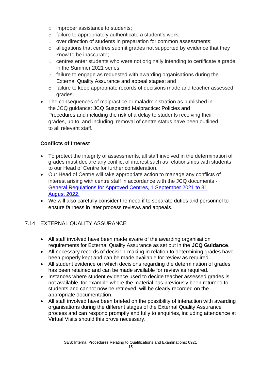- o improper assistance to students;
- $\circ$  failure to appropriately authenticate a student's work;
- o over direction of students in preparation for common assessments;
- $\circ$  allegations that centres submit grades not supported by evidence that they know to be inaccurate;
- o centres enter students who were not originally intending to certificate a grade in the Summer 2021 series;
- $\circ$  failure to engage as requested with awarding organisations during the External Quality Assurance and appeal stages; and
- o failure to keep appropriate records of decisions made and teacher assessed grades.
- The consequences of malpractice or maladministration as published in the JCQ guidance: JCQ Suspected Malpractice: Policies and Procedures and including the risk of a delay to students receiving their grades, up to, and including, removal of centre status have been outlined to all relevant staff.

#### **Conflicts of Interest**

- To protect the integrity of assessments, all staff involved in the determination of grades must declare any conflict of interest such as relationships with students to our Head of Centre for further consideration.
- Our Head of Centre will take appropriate action to manage any conflicts of interest arising with centre staff in accordance with the JCQ documents - [General Regulations for Approved Centres, 1 September 2021 to 31](https://www.jcq.org.uk/wp-content/uploads/2022/01/Gen_regs_approved_centres_21-22_FINAL.pdf)  [August 2022.](https://www.jcq.org.uk/wp-content/uploads/2022/01/Gen_regs_approved_centres_21-22_FINAL.pdf)
- We will also carefully consider the need if to separate duties and personnel to ensure fairness in later process reviews and appeals.

#### 7.14 EXTERNAL QUALITY ASSURANCE

- All staff involved have been made aware of the awarding organisation requirements for External Quality Assurance as set out in the **JCQ Guidance**.
- All necessary records of decision-making in relation to determining grades have been properly kept and can be made available for review as required.
- All student evidence on which decisions regarding the determination of grades has been retained and can be made available for review as required.
- Instances where student evidence used to decide teacher assessed grades is not available, for example where the material has previously been returned to students and cannot now be retrieved, will be clearly recorded on the appropriate documentation.
- All staff involved have been briefed on the possibility of interaction with awarding organisations during the different stages of the External Quality Assurance process and can respond promptly and fully to enquiries, including attendance at Virtual Visits should this prove necessary.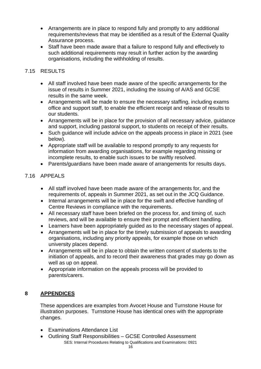- Arrangements are in place to respond fully and promptly to any additional requirements/reviews that may be identified as a result of the External Quality Assurance process.
- Staff have been made aware that a failure to respond fully and effectively to such additional requirements may result in further action by the awarding organisations, including the withholding of results.

#### 7.15 RESULTS

- All staff involved have been made aware of the specific arrangements for the issue of results in Summer 2021, including the issuing of A/AS and GCSE results in the same week.
- Arrangements will be made to ensure the necessary staffing, including exams office and support staff, to enable the efficient receipt and release of results to our students.
- Arrangements will be in place for the provision of all necessary advice, guidance and support, including pastoral support, to students on receipt of their results.
- Such guidance will include advice on the appeals process in place in 2021 (see below).
- Appropriate staff will be available to respond promptly to any requests for information from awarding organisations, for example regarding missing or incomplete results, to enable such issues to be swiftly resolved.
- Parents/guardians have been made aware of arrangements for results days.

#### 7.16 APPEALS

- All staff involved have been made aware of the arrangements for, and the requirements of, appeals in Summer 2021, as set out in the JCQ Guidance.
- Internal arrangements will be in place for the swift and effective handling of Centre Reviews in compliance with the requirements.
- All necessary staff have been briefed on the process for, and timing of, such reviews, and will be available to ensure their prompt and efficient handling.
- Learners have been appropriately guided as to the necessary stages of appeal.
- Arrangements will be in place for the timely submission of appeals to awarding organisations, including any priority appeals, for example those on which university places depend.
- Arrangements will be in place to obtain the written consent of students to the initiation of appeals, and to record their awareness that grades may go down as well as up on appeal.
- Appropriate information on the appeals process will be provided to parents/carers.

#### **8 APPENDICES**

These appendices are examples from Avocet House and Turnstone House for illustration purposes. Turnstone House has identical ones with the appropriate changes.

- Examinations Attendance List
- SES: Internal Procedures Relating to Qualifications and Examinations: 0921 • Outlining Staff Responsibilities – GCSE Controlled Assessment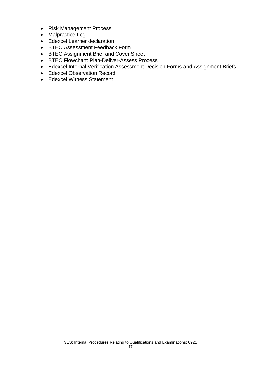- Risk Management Process
- Malpractice Log
- Edexcel Learner declaration
- BTEC Assessment Feedback Form
- BTEC Assignment Brief and Cover Sheet
- BTEC Flowchart: Plan-Deliver-Assess Process
- Edexcel Internal Verification Assessment Decision Forms and Assignment Briefs
- Edexcel Observation Record
- Edexcel Witness Statement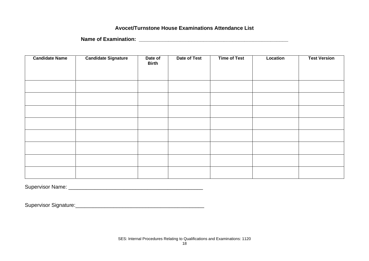#### **Avocet/Turnstone House Examinations Attendance List**

**Name of Examination: \_\_\_\_\_\_\_\_\_\_\_\_\_\_\_\_\_\_\_\_\_\_\_\_\_\_\_\_\_\_\_\_\_\_\_\_\_\_\_\_\_\_\_\_\_\_\_\_\_\_\_**

| <b>Candidate Name</b> | <b>Candidate Signature</b> | Date of<br><b>Birth</b> | Date of Test | <b>Time of Test</b> | Location | <b>Test Version</b> |
|-----------------------|----------------------------|-------------------------|--------------|---------------------|----------|---------------------|
|                       |                            |                         |              |                     |          |                     |
|                       |                            |                         |              |                     |          |                     |
|                       |                            |                         |              |                     |          |                     |
|                       |                            |                         |              |                     |          |                     |
|                       |                            |                         |              |                     |          |                     |
|                       |                            |                         |              |                     |          |                     |
|                       |                            |                         |              |                     |          |                     |
|                       |                            |                         |              |                     |          |                     |
|                       |                            |                         |              |                     |          |                     |
|                       |                            |                         |              |                     |          |                     |

Supervisor Name: \_\_\_\_\_\_\_\_\_\_\_\_\_\_\_\_\_\_\_\_\_\_\_\_\_\_\_\_\_\_\_\_\_\_\_\_\_\_\_\_\_\_\_\_\_\_

Supervisor Signature:\_\_\_\_\_\_\_\_\_\_\_\_\_\_\_\_\_\_\_\_\_\_\_\_\_\_\_\_\_\_\_\_\_\_\_\_\_\_\_\_\_\_\_\_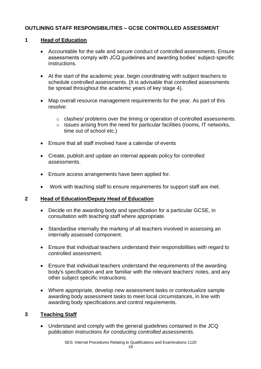#### **OUTLINING STAFF RESPONSIBILITIES – GCSE CONTROLLED ASSESSMENT**

#### **1 Head of Education**

- Accountable for the safe and secure conduct of controlled assessments. Ensure assessments comply with JCQ guidelines and awarding bodies' subject-specific instructions.
- At the start of the academic year, begin coordinating with subject teachers to schedule controlled assessments. (It is advisable that controlled assessments be spread throughout the academic years of key stage 4).
- Map overall resource management requirements for the year. As part of this resolve:
	- o clashes/ problems over the timing or operation of controlled assessments.
	- $\circ$  issues arising from the need for particular facilities (rooms, IT networks, time out of school etc.)
- Ensure that all staff involved have a calendar of events
- Create, publish and update an internal appeals policy for controlled assessments.
- Ensure access arrangements have been applied for.
- Work with teaching staff to ensure requirements for support staff are met.

#### **2 Head of Education/Deputy Head of Education**

- Decide on the awarding body and specification for a particular GCSE, in consultation with teaching staff where appropriate.
- Standardise internally the marking of all teachers involved in assessing an internally assessed component.
- Ensure that individual teachers understand their responsibilities with regard to controlled assessment.
- Ensure that individual teachers understand the requirements of the awarding body's specification and are familiar with the relevant teachers' notes, and any other subject specific instructions.
- Where appropriate, develop new assessment tasks or contextualize sample awarding body assessment tasks to meet local circumstances, in line with awarding body specifications and control requirements.

#### **3 Teaching Staff**

• Understand and comply with the general guidelines contained in the JCQ publication *Instructions for conducting controlled assessments*.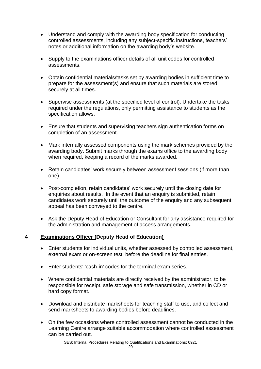- Understand and comply with the awarding body specification for conducting controlled assessments, including any subject-specific instructions, teachers' notes or additional information on the awarding body's website.
- Supply to the examinations officer details of all unit codes for controlled assessments.
- Obtain confidential materials/tasks set by awarding bodies in sufficient time to prepare for the assessment(s) and ensure that such materials are stored securely at all times.
- Supervise assessments (at the specified level of control). Undertake the tasks required under the regulations, only permitting assistance to students as the specification allows.
- Ensure that students and supervising teachers sign authentication forms on completion of an assessment.
- Mark internally assessed components using the mark schemes provided by the awarding body. Submit marks through the exams office to the awarding body when required, keeping a record of the marks awarded.
- Retain candidates' work securely between assessment sessions (if more than one).
- Post-completion, retain candidates' work securely until the closing date for enquiries about results. In the event that an enquiry is submitted, retain candidates work securely until the outcome of the enquiry and any subsequent appeal has been conveyed to the centre.
- Ask the Deputy Head of Education or Consultant for any assistance required for the administration and management of access arrangements.

#### **4 Examinations Officer (Deputy Head of Education)**

- Enter students for individual units, whether assessed by controlled assessment, external exam or on-screen test, before the deadline for final entries.
- Enter students' 'cash-in' codes for the terminal exam series.
- Where confidential materials are directly received by the administrator, to be responsible for receipt, safe storage and safe transmission, whether in CD or hard copy format.
- Download and distribute marksheets for teaching staff to use, and collect and send marksheets to awarding bodies before deadlines.
- On the few occasions where controlled assessment cannot be conducted in the Learning Centre arrange suitable accommodation where controlled assessment can be carried out.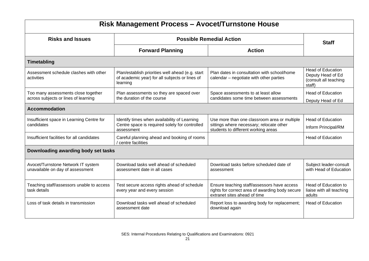| <b>Risk Management Process - Avocet/Turnstone House</b>                     |                                                                                                                |                                                                                                                                 |                                                                                  |  |  |  |
|-----------------------------------------------------------------------------|----------------------------------------------------------------------------------------------------------------|---------------------------------------------------------------------------------------------------------------------------------|----------------------------------------------------------------------------------|--|--|--|
| <b>Risks and Issues</b>                                                     | <b>Staff</b>                                                                                                   |                                                                                                                                 |                                                                                  |  |  |  |
|                                                                             | <b>Forward Planning</b>                                                                                        | <b>Action</b>                                                                                                                   |                                                                                  |  |  |  |
| Timetabling                                                                 |                                                                                                                |                                                                                                                                 |                                                                                  |  |  |  |
| Assessment schedule clashes with other<br>activities                        | Plan/establish priorities well ahead (e.g. start<br>of academic year) for all subjects or lines of<br>learning | Plan dates in consultation with school/home<br>calendar – negotiate with other parties                                          | <b>Head of Education</b><br>Deputy Head of Ed<br>(consult all teaching<br>staff) |  |  |  |
| Too many assessments close together<br>across subjects or lines of learning | Plan assessments so they are spaced over<br>the duration of the course                                         | Space assessments to at least allow<br>candidates some time between assessments                                                 | <b>Head of Education</b><br>Deputy Head of Ed                                    |  |  |  |
| <b>Accommodation</b>                                                        |                                                                                                                |                                                                                                                                 |                                                                                  |  |  |  |
| Insufficient space in Learning Centre for<br>candidates                     | Identify times when availability of Learning<br>Centre space is required solely for controlled<br>assessment   | Use more than one classroom area or multiple<br>sittings where necessary; relocate other<br>students to different working areas | <b>Head of Education</b><br>Inform Principal/RM                                  |  |  |  |
| Insufficient facilities for all candidates                                  | Careful planning ahead and booking of rooms<br>centre facilities                                               |                                                                                                                                 | <b>Head of Education</b>                                                         |  |  |  |
| Downloading awarding body set tasks                                         |                                                                                                                |                                                                                                                                 |                                                                                  |  |  |  |
| Avocet/Turnstone Network IT system<br>unavailable on day of assessment      | Download tasks well ahead of scheduled<br>assessment date in all cases                                         | Download tasks before scheduled date of<br>assessment                                                                           | Subject leader-consult<br>with Head of Education                                 |  |  |  |
| Teaching staff/assessors unable to access<br>task details                   | Test secure access rights ahead of schedule<br>every year and every session                                    | Ensure teaching staff/assessors have access<br>rights for correct area of awarding body secure<br>extranet sites ahead of time  | Head of Education to<br>liaise with all teaching<br>adults                       |  |  |  |
| Loss of task details in transmission                                        | Download tasks well ahead of scheduled<br>assessment date                                                      | Report loss to awarding body for replacement;<br>download again                                                                 | <b>Head of Education</b>                                                         |  |  |  |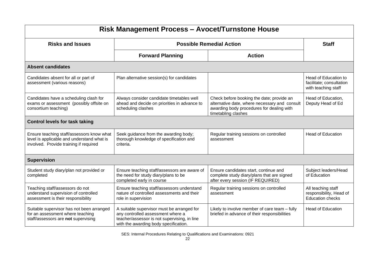| <b>Risk Management Process - Avocet/Turnstone House</b>                                                                           |                                                                                                                                                                          |                                                                                                                                                                |                                                                          |  |  |
|-----------------------------------------------------------------------------------------------------------------------------------|--------------------------------------------------------------------------------------------------------------------------------------------------------------------------|----------------------------------------------------------------------------------------------------------------------------------------------------------------|--------------------------------------------------------------------------|--|--|
| <b>Risks and Issues</b>                                                                                                           | <b>Staff</b>                                                                                                                                                             |                                                                                                                                                                |                                                                          |  |  |
|                                                                                                                                   | <b>Forward Planning</b>                                                                                                                                                  | <b>Action</b>                                                                                                                                                  |                                                                          |  |  |
| <b>Absent candidates</b>                                                                                                          |                                                                                                                                                                          |                                                                                                                                                                |                                                                          |  |  |
| Candidates absent for all or part of<br>assessment (various reasons)                                                              | Plan alternative session(s) for candidates                                                                                                                               |                                                                                                                                                                | Head of Education to<br>facilitate; consultation<br>with teaching staff  |  |  |
| Candidates have a scheduling clash for<br>exams or assessment (possibly offsite on<br>consortium teaching)                        | Always consider candidate timetables well<br>ahead and decide on priorities in advance to<br>scheduling clashes                                                          | Check before booking the date; provide an<br>alternative date, where necessary and consult<br>awarding body procedures for dealing with<br>timetabling clashes | Head of Education,<br>Deputy Head of Ed                                  |  |  |
| <b>Control levels for task taking</b>                                                                                             |                                                                                                                                                                          |                                                                                                                                                                |                                                                          |  |  |
| Ensure teaching staff/assessors know what<br>level is applicable and understand what is<br>involved. Provide training if required | Seek guidance from the awarding body;<br>thorough knowledge of specification and<br>criteria.                                                                            | Regular training sessions on controlled<br>assessment                                                                                                          | <b>Head of Education</b>                                                 |  |  |
| <b>Supervision</b>                                                                                                                |                                                                                                                                                                          |                                                                                                                                                                |                                                                          |  |  |
| Student study diary/plan not provided or<br>completed                                                                             | Ensure teaching staff/assessors are aware of<br>the need for study diary/plans to be<br>completed early in course                                                        | Ensure candidates start, continue and<br>complete study diary/plans that are signed<br>after every session (IF REQUIRED)                                       | Subject leaders/Head<br>of Education                                     |  |  |
| Teaching staff/assessors do not<br>understand supervision of controlled<br>assessment is their responsibility                     | Ensure teaching staff/assessors understand<br>nature of controlled assessments and their<br>role in supervision                                                          | Regular training sessions on controlled<br>assessment                                                                                                          | All teaching staff<br>responsibility, Head of<br><b>Education checks</b> |  |  |
| Suitable supervisor has not been arranged<br>for an assessment where teaching<br>staff/assessors are not supervising              | A suitable supervisor must be arranged for<br>any controlled assessment where a<br>teacher/assessor is not supervising, in line<br>with the awarding body specification. | Likely to involve member of care team - fully<br>briefed in advance of their responsibilities                                                                  | <b>Head of Education</b>                                                 |  |  |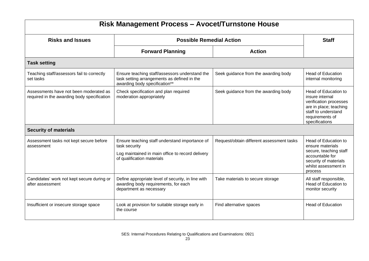| Risk Management Process - Avocet/Turnstone House                                      |                                                                                                                                                   |                                           |                                                                                                                                                         |  |  |
|---------------------------------------------------------------------------------------|---------------------------------------------------------------------------------------------------------------------------------------------------|-------------------------------------------|---------------------------------------------------------------------------------------------------------------------------------------------------------|--|--|
| <b>Risks and Issues</b>                                                               | <b>Possible Remedial Action</b>                                                                                                                   | <b>Staff</b>                              |                                                                                                                                                         |  |  |
|                                                                                       | <b>Forward Planning</b>                                                                                                                           | <b>Action</b>                             |                                                                                                                                                         |  |  |
| <b>Task setting</b>                                                                   |                                                                                                                                                   |                                           |                                                                                                                                                         |  |  |
| Teaching staff/assessors fail to correctly<br>set tasks                               | Ensure teaching staff/assessors understand the<br>task setting arrangements as defined in the<br>awarding body specification**                    | Seek guidance from the awarding body      | <b>Head of Education</b><br>internal monitoring                                                                                                         |  |  |
| Assessments have not been moderated as<br>required in the awarding body specification | Check specification and plan required<br>moderation appropriately                                                                                 | Seek guidance from the awarding body      | Head of Education to<br>insure internal<br>verification processes<br>are in place; teaching<br>staff to understand<br>requirements of<br>specifications |  |  |
| <b>Security of materials</b>                                                          |                                                                                                                                                   |                                           |                                                                                                                                                         |  |  |
| Assessment tasks not kept secure before<br>assessment                                 | Ensure teaching staff understand importance of<br>task security<br>Log maintained in main office to record delivery<br>of qualification materials | Request/obtain different assessment tasks | Head of Education to<br>ensure materials<br>secure, teaching staff<br>accountable for<br>security of materials<br>whilst assessment in<br>process       |  |  |
| Candidates' work not kept secure during or<br>after assessment                        | Define appropriate level of security, in line with<br>awarding body requirements, for each<br>department as necessary                             | Take materials to secure storage          | All staff responsible,<br>Head of Education to<br>monitor security                                                                                      |  |  |
| Insufficient or insecure storage space                                                | Look at provision for suitable storage early in<br>the course                                                                                     | Find alternative spaces                   | <b>Head of Education</b>                                                                                                                                |  |  |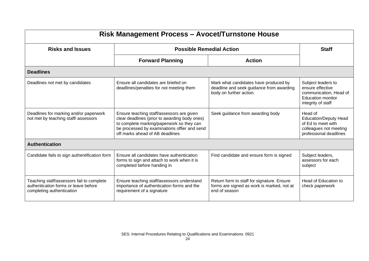| <b>Risk Management Process - Avocet/Turnstone House</b>                                                        |                                                                                                                                                                                                                            |                                                                                                              |                                                                                                                    |  |  |
|----------------------------------------------------------------------------------------------------------------|----------------------------------------------------------------------------------------------------------------------------------------------------------------------------------------------------------------------------|--------------------------------------------------------------------------------------------------------------|--------------------------------------------------------------------------------------------------------------------|--|--|
| <b>Risks and Issues</b>                                                                                        | <b>Staff</b>                                                                                                                                                                                                               |                                                                                                              |                                                                                                                    |  |  |
|                                                                                                                | <b>Forward Planning</b>                                                                                                                                                                                                    | <b>Action</b>                                                                                                |                                                                                                                    |  |  |
| <b>Deadlines</b>                                                                                               |                                                                                                                                                                                                                            |                                                                                                              |                                                                                                                    |  |  |
| Deadlines not met by candidates                                                                                | Ensure all candidates are briefed on<br>deadlines/penalties for not meeting them                                                                                                                                           | Mark what candidates have produced by<br>deadline and seek guidance from awarding<br>body on further action. | Subject leaders to<br>ensure effective<br>communication, Head of<br><b>Education monitor</b><br>integrity of staff |  |  |
| Deadlines for marking and/or paperwork<br>not met by teaching staff/assessors                                  | Ensure teaching staff/assessors are given<br>clear deadlines (prior to awarding body ones)<br>to complete marking/paperwork so they can<br>be processed by examinations offier and send<br>off marks ahead of AB deadlines | Seek guidance from awarding body                                                                             | Head of<br><b>Education/Deputy Head</b><br>of Ed to meet with<br>colleagues not meeting<br>professional deadlines  |  |  |
| <b>Authentication</b>                                                                                          |                                                                                                                                                                                                                            |                                                                                                              |                                                                                                                    |  |  |
| Candidate fails to sign authentification form                                                                  | Ensure all candidates have authentication<br>forms to sign and attach to work when it is<br>completed before handing in                                                                                                    | Find candidate and ensure form is signed                                                                     | Subject leaders,<br>assessors for each<br>subject                                                                  |  |  |
| Teaching staff/assessors fail to complete<br>authentication forms or leave before<br>completing authentication | Ensure teaching staff/assessors understand<br>importance of authentication forms and the<br>requirement of a signature                                                                                                     | Return form to staff for signature. Ensure<br>forms are signed as work is marked, not at<br>end of season    | Head of Education to<br>check paperwork                                                                            |  |  |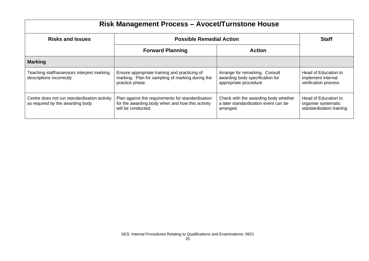| Risk Management Process - Avocet/Turnstone House                                 |                                                                                                                             |                                                                                            |                                                                         |  |  |
|----------------------------------------------------------------------------------|-----------------------------------------------------------------------------------------------------------------------------|--------------------------------------------------------------------------------------------|-------------------------------------------------------------------------|--|--|
| <b>Risks and Issues</b>                                                          | <b>Possible Remedial Action</b>                                                                                             | <b>Staff</b>                                                                               |                                                                         |  |  |
|                                                                                  | <b>Forward Planning</b>                                                                                                     | <b>Action</b>                                                                              |                                                                         |  |  |
| <b>Marking</b>                                                                   |                                                                                                                             |                                                                                            |                                                                         |  |  |
| Teaching staff/assessors interpret marking<br>descriptions incorrectly           | Ensure appropriate training and practicing of<br>marking. Plan for sampling of marking during the<br>practice phase.        | Arrange for remarking. Consult<br>awarding body specification for<br>appropriate procedure | Head of Education to<br>implement internal<br>verification process      |  |  |
| Centre does not run standardisation activity<br>as required by the awarding body | Plan against the requirements for standardisation<br>for the awarding body when and how this activity<br>will be conducted. | Check with the awarding body whether<br>a later standardisation event can be<br>arranged.  | Head of Education to<br>organise systematic<br>standardisation training |  |  |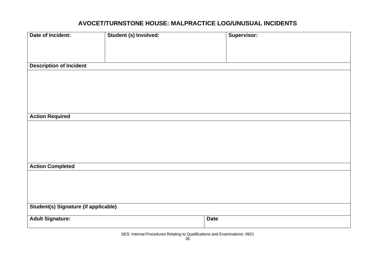#### **AVOCET/TURNSTONE HOUSE: MALPRACTICE LOG/UNUSUAL INCIDENTS**

| Date of Incident:                           | Student (s) Involved: | Supervisor: |
|---------------------------------------------|-----------------------|-------------|
|                                             |                       |             |
|                                             |                       |             |
|                                             |                       |             |
|                                             |                       |             |
| <b>Description of Incident</b>              |                       |             |
|                                             |                       |             |
|                                             |                       |             |
|                                             |                       |             |
|                                             |                       |             |
|                                             |                       |             |
|                                             |                       |             |
|                                             |                       |             |
| <b>Action Required</b>                      |                       |             |
|                                             |                       |             |
|                                             |                       |             |
|                                             |                       |             |
|                                             |                       |             |
|                                             |                       |             |
|                                             |                       |             |
|                                             |                       |             |
| <b>Action Completed</b>                     |                       |             |
|                                             |                       |             |
|                                             |                       |             |
|                                             |                       |             |
|                                             |                       |             |
|                                             |                       |             |
|                                             |                       |             |
| <b>Student(s) Signature (if applicable)</b> |                       |             |
| <b>Adult Signature:</b>                     |                       | <b>Date</b> |
|                                             |                       |             |
|                                             |                       |             |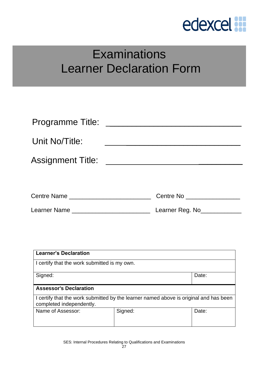

### **Examinations** Learner Declaration Form

| Programme Title:         |                         |
|--------------------------|-------------------------|
| Unit No/Title:           |                         |
| <b>Assignment Title:</b> |                         |
|                          |                         |
| Centre Name              | Centre No<br>and The No |

| <b>Learner's Declaration</b>                                                                                      |         |       |  |  |  |
|-------------------------------------------------------------------------------------------------------------------|---------|-------|--|--|--|
| I certify that the work submitted is my own.                                                                      |         |       |  |  |  |
| Signed:<br>Date:                                                                                                  |         |       |  |  |  |
| <b>Assessor's Declaration</b>                                                                                     |         |       |  |  |  |
| I certify that the work submitted by the learner named above is original and has been<br>completed independently. |         |       |  |  |  |
| Name of Assessor:                                                                                                 | Signed: | Date: |  |  |  |

SES: Internal Procedures Relating to Qualifications and Examinations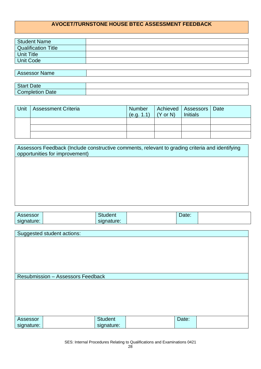#### **AVOCET/TURNSTONE HOUSE BTEC ASSESSMENT FEEDBACK**

| Student Name               |  |
|----------------------------|--|
| <b>Qualification Title</b> |  |
| <b>Unit Title</b>          |  |
| Unit Code                  |  |
|                            |  |
| <b>Assessor Name</b>       |  |
|                            |  |

| $\sim$<br>$\omega$ ate   |  |
|--------------------------|--|
| Jate<br>∶∩mr<br>upleuor. |  |

| Unit | <b>Assessment Criteria</b> | Number<br>(e.g. 1.1) | $(Y$ or N) | Achieved   Assessors   Date<br><b>Initials</b> |  |
|------|----------------------------|----------------------|------------|------------------------------------------------|--|
|      |                            |                      |            |                                                |  |
|      |                            |                      |            |                                                |  |
|      |                            |                      |            |                                                |  |

| Assessors Feedback (Include constructive comments, relevant to grading criteria and identifying<br>opportunities for improvement) |
|-----------------------------------------------------------------------------------------------------------------------------------|
|                                                                                                                                   |
|                                                                                                                                   |
|                                                                                                                                   |
|                                                                                                                                   |

| Assessor   |                                          | <b>Student</b> | Date: |  |
|------------|------------------------------------------|----------------|-------|--|
| signature: |                                          | signature:     |       |  |
|            |                                          |                |       |  |
|            | Suggested student actions:               |                |       |  |
|            |                                          |                |       |  |
|            |                                          |                |       |  |
|            |                                          |                |       |  |
|            |                                          |                |       |  |
|            |                                          |                |       |  |
|            |                                          |                |       |  |
|            |                                          |                |       |  |
|            | <b>Resubmission - Assessors Feedback</b> |                |       |  |
|            |                                          |                |       |  |
|            |                                          |                |       |  |
|            |                                          |                |       |  |
|            |                                          |                |       |  |
|            |                                          |                |       |  |
|            |                                          |                |       |  |
| Assessor   |                                          | <b>Student</b> | Date: |  |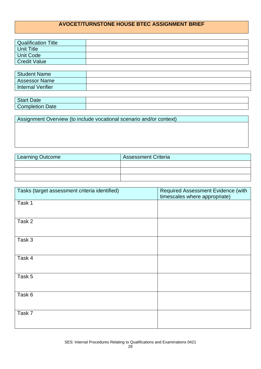#### **AVOCET/TURNSTONE HOUSE BTEC ASSIGNMENT BRIEF**

| <b>Qualification Title</b> |  |
|----------------------------|--|
| Unit Title                 |  |
| Unit Code                  |  |
| <b>Credit Value</b>        |  |

| <b>Student Name</b>  |  |
|----------------------|--|
| <b>Assessor Name</b> |  |
| Internal Verifier    |  |

| $\sim$<br><b>Date</b><br>ں امات |  |
|---------------------------------|--|
| Date<br>$\blacksquare$<br>.     |  |

Assignment Overview (to include vocational scenario and/or context)

| <b>Learning Outcome</b> | <b>Assessment Criteria</b> |
|-------------------------|----------------------------|
|                         |                            |
|                         |                            |
|                         |                            |

| Tasks (target assessment criteria identified) | Required Assessment Evidence (with<br>timescales where appropriate) |
|-----------------------------------------------|---------------------------------------------------------------------|
| Task 1                                        |                                                                     |
| Task 2                                        |                                                                     |
| Task 3                                        |                                                                     |
| Task 4                                        |                                                                     |
| Task 5                                        |                                                                     |
| Task 6                                        |                                                                     |
| Task 7                                        |                                                                     |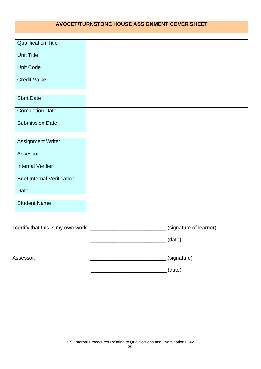#### **AVOCET/TURNSTONE HOUSE ASSIGNMENT COVER SHEET**

| Qualification Title |  |
|---------------------|--|
| <b>Unit Title</b>   |  |
| <b>Unit Code</b>    |  |
| Credit Value        |  |

| Start Date             |  |
|------------------------|--|
| <b>Completion Date</b> |  |
| <b>Submission Date</b> |  |

| <b>Assignment Writer</b>           |  |
|------------------------------------|--|
| Assessor                           |  |
| <b>Internal Verifier</b>           |  |
| <b>Brief Internal Verification</b> |  |
| Date                               |  |

| <b>Student Name</b> |  |
|---------------------|--|
|                     |  |

\_\_\_\_\_\_\_\_\_\_\_\_\_\_\_\_\_\_\_\_\_\_\_\_\_\_ (date)

| I certify that this is my own work: | (signature of learner) |
|-------------------------------------|------------------------|
|                                     |                        |

Assessor: \_\_\_\_\_\_\_\_\_\_\_\_\_\_\_\_\_\_\_\_\_\_\_\_\_\_ (signature)

\_\_\_\_\_\_\_\_\_\_\_\_\_\_\_\_\_\_\_\_\_\_\_\_\_\_(date)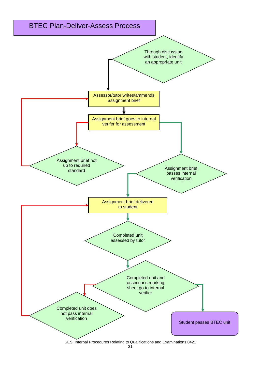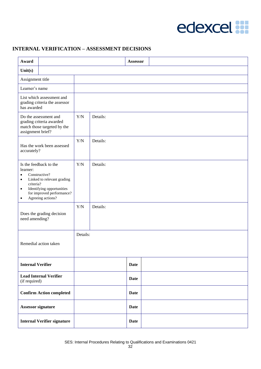## edexcel :

#### **INTERNAL VERIFICATION – ASSESSMENT DECISIONS**

| Award                                                                                                 |                                                                                                                                                      |          |          | <b>Assessor</b> |  |  |  |  |
|-------------------------------------------------------------------------------------------------------|------------------------------------------------------------------------------------------------------------------------------------------------------|----------|----------|-----------------|--|--|--|--|
| Unit $(s)$                                                                                            |                                                                                                                                                      |          |          |                 |  |  |  |  |
| Assignment title                                                                                      |                                                                                                                                                      |          |          |                 |  |  |  |  |
| Learner's name                                                                                        |                                                                                                                                                      |          |          |                 |  |  |  |  |
| List which assessment and<br>grading criteria the assessor<br>has awarded                             |                                                                                                                                                      |          |          |                 |  |  |  |  |
| Do the assessment and<br>grading criteria awarded<br>match those targeted by the<br>assignment brief? |                                                                                                                                                      | Y/N      | Details: |                 |  |  |  |  |
| Has the work been assessed<br>accurately?                                                             |                                                                                                                                                      | Y/N      | Details: |                 |  |  |  |  |
| learner:<br>$\bullet$<br>$\bullet$<br>criteria?<br>$\bullet$<br>$\bullet$                             | Is the feedback to the<br>Constructive?<br>Linked to relevant grading<br>Identifying opportunities<br>for improved performance?<br>Agreeing actions? | Y/N      | Details: |                 |  |  |  |  |
| need amending?                                                                                        | Does the grading decision                                                                                                                            | Y/N      | Details: |                 |  |  |  |  |
|                                                                                                       | Remedial action taken                                                                                                                                | Details: |          |                 |  |  |  |  |
| <b>Internal Verifier</b>                                                                              |                                                                                                                                                      |          |          | <b>Date</b>     |  |  |  |  |
| (if required)                                                                                         | <b>Lead Internal Verifier</b>                                                                                                                        |          |          | <b>Date</b>     |  |  |  |  |
|                                                                                                       | <b>Confirm Action completed</b>                                                                                                                      |          |          | <b>Date</b>     |  |  |  |  |
| <b>Assessor signature</b>                                                                             |                                                                                                                                                      |          |          | <b>Date</b>     |  |  |  |  |
|                                                                                                       | <b>Internal Verifier signature</b>                                                                                                                   |          |          | <b>Date</b>     |  |  |  |  |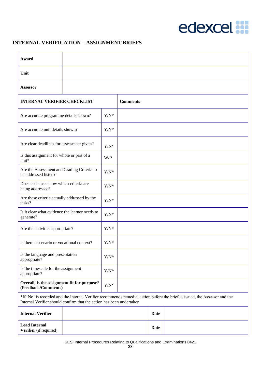

#### **INTERNAL VERIFICATION – ASSIGNMENT BRIEFS**

| Award                                                                                                                                                                                              |  |               |                 |             |  |
|----------------------------------------------------------------------------------------------------------------------------------------------------------------------------------------------------|--|---------------|-----------------|-------------|--|
| Unit                                                                                                                                                                                               |  |               |                 |             |  |
| <b>Assessor</b>                                                                                                                                                                                    |  |               |                 |             |  |
| <b>INTERNAL VERIFIER CHECKLIST</b>                                                                                                                                                                 |  |               | <b>Comments</b> |             |  |
| Are accurate programme details shown?                                                                                                                                                              |  | $Y/N^*$       |                 |             |  |
| Are accurate unit details shown?                                                                                                                                                                   |  | $Y/N^*$       |                 |             |  |
| Are clear deadlines for assessment given?                                                                                                                                                          |  | ${\rm Y/N^*}$ |                 |             |  |
| Is this assignment for whole or part of a<br>unit?                                                                                                                                                 |  | W/P           |                 |             |  |
| Are the Assessment and Grading Criteria to<br>be addressed listed?                                                                                                                                 |  | $Y/N^*$       |                 |             |  |
| Does each task show which criteria are<br>being addressed?                                                                                                                                         |  | $Y/N^*$       |                 |             |  |
| Are these criteria actually addressed by the<br>tasks?                                                                                                                                             |  | $Y/N^*$       |                 |             |  |
| Is it clear what evidence the learner needs to<br>generate?                                                                                                                                        |  | $Y/N^*$       |                 |             |  |
| Are the activities appropriate?                                                                                                                                                                    |  | $Y/N^*$       |                 |             |  |
| Is there a scenario or vocational context?                                                                                                                                                         |  | $Y/N^*$       |                 |             |  |
| Is the language and presentation<br>appropriate?                                                                                                                                                   |  | $Y/N^*$       |                 |             |  |
| Is the timescale for the assignment<br>appropriate?                                                                                                                                                |  | $Y/N^*$       |                 |             |  |
| Overall, is the assignment fit for purpose?<br>(Feedback/Comments)                                                                                                                                 |  | $Y/N^*$       |                 |             |  |
| *If 'No' is recorded and the Internal Verifier recommends remedial action before the brief is issued, the Assessor and the<br>Internal Verifier should confirm that the action has been undertaken |  |               |                 |             |  |
| <b>Internal Verifier</b>                                                                                                                                                                           |  |               |                 | <b>Date</b> |  |
| <b>Lead Internal</b><br>Verifier (if required)                                                                                                                                                     |  |               |                 | Date        |  |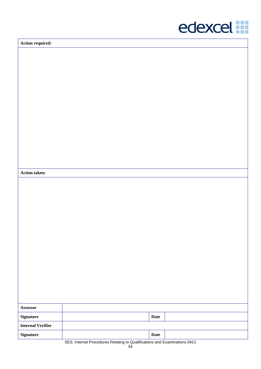

**Action required:**

**Action taken:**

| <b>Assessor</b>          |                                                                                                                                                                                                                                                                                                                                                                                      |
|--------------------------|--------------------------------------------------------------------------------------------------------------------------------------------------------------------------------------------------------------------------------------------------------------------------------------------------------------------------------------------------------------------------------------|
| <b>Signature</b>         | <b>Date</b>                                                                                                                                                                                                                                                                                                                                                                          |
| <b>Internal Verifier</b> |                                                                                                                                                                                                                                                                                                                                                                                      |
| <b>Signature</b>         | <b>Date</b>                                                                                                                                                                                                                                                                                                                                                                          |
|                          | $\overline{O}$ $\overline{O}$ $\overline{O}$ $\overline{O}$ $\overline{O}$ $\overline{O}$ $\overline{O}$ $\overline{O}$ $\overline{O}$ $\overline{O}$ $\overline{O}$ $\overline{O}$ $\overline{O}$ $\overline{O}$ $\overline{O}$ $\overline{O}$ $\overline{O}$ $\overline{O}$ $\overline{O}$ $\overline{O}$ $\overline{O}$ $\overline{O}$ $\overline{O}$ $\overline{O}$ $\overline{$ |

SES: Internal Procedures Relating to Qualifications and Examinations 0421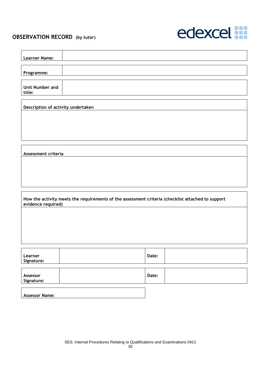#### **OBSERVATION RECORD (by tutor)**



| <b>Learner Name:</b>               |                                                                                                   |       |  |
|------------------------------------|---------------------------------------------------------------------------------------------------|-------|--|
| Programme:                         |                                                                                                   |       |  |
| Unit Number and<br>title:          |                                                                                                   |       |  |
| Description of activity undertaken |                                                                                                   |       |  |
|                                    |                                                                                                   |       |  |
|                                    |                                                                                                   |       |  |
| Assessment criteria                |                                                                                                   |       |  |
|                                    |                                                                                                   |       |  |
|                                    |                                                                                                   |       |  |
|                                    | How the activity meets the requirements of the assessment criteria (checklist attached to support |       |  |
| evidence required)                 |                                                                                                   |       |  |
|                                    |                                                                                                   |       |  |
|                                    |                                                                                                   |       |  |
| Learner<br>Signature:              |                                                                                                   | Date: |  |
| Assessor<br>Signature:             |                                                                                                   | Date: |  |
| <b>Assessor Name:</b>              |                                                                                                   |       |  |